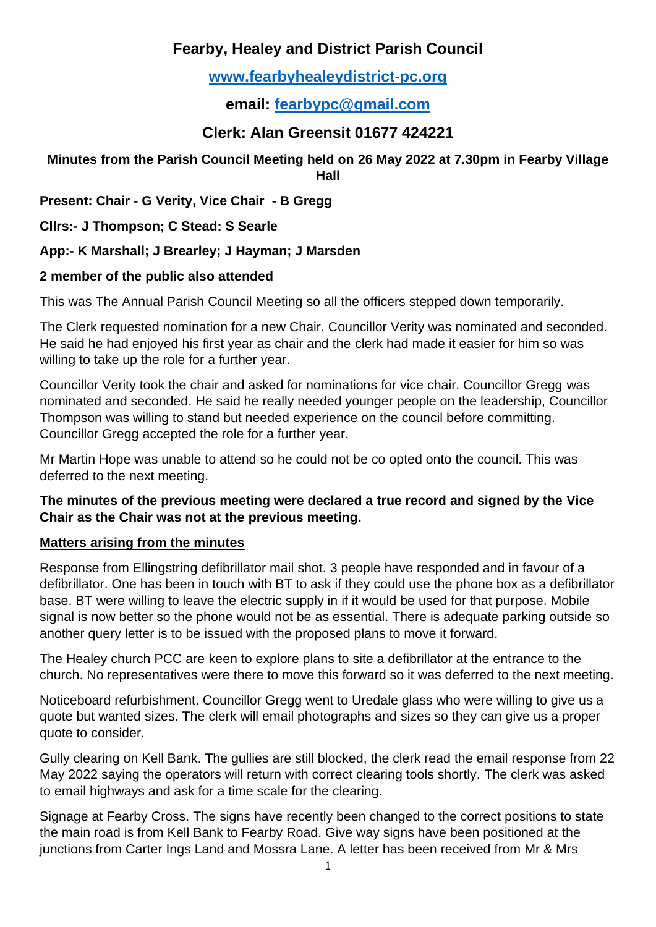# **Fearby, Healey and District Parish Council**

# **[www.fearbyhealeydistrict-pc.org](http://www.fearbyhealeydistrict-pc.org/)**

**email: [fearbypc@gmail.com](mailto:fearbypc@gmail.com)**

# **Clerk: Alan Greensit 01677 424221**

#### **Minutes from the Parish Council Meeting held on 26 May 2022 at 7.30pm in Fearby Village Hall**

**Present: Chair - G Verity, Vice Chair - B Gregg**

**Cllrs:- J Thompson; C Stead: S Searle**

**App:- K Marshall; J Brearley; J Hayman; J Marsden**

### **2 member of the public also attended**

This was The Annual Parish Council Meeting so all the officers stepped down temporarily.

The Clerk requested nomination for a new Chair. Councillor Verity was nominated and seconded. He said he had enjoyed his first year as chair and the clerk had made it easier for him so was willing to take up the role for a further year.

Councillor Verity took the chair and asked for nominations for vice chair. Councillor Gregg was nominated and seconded. He said he really needed younger people on the leadership, Councillor Thompson was willing to stand but needed experience on the council before committing. Councillor Gregg accepted the role for a further year.

Mr Martin Hope was unable to attend so he could not be co opted onto the council. This was deferred to the next meeting.

#### **The minutes of the previous meeting were declared a true record and signed by the Vice Chair as the Chair was not at the previous meeting.**

#### **Matters arising from the minutes**

Response from Ellingstring defibrillator mail shot. 3 people have responded and in favour of a defibrillator. One has been in touch with BT to ask if they could use the phone box as a defibrillator base. BT were willing to leave the electric supply in if it would be used for that purpose. Mobile signal is now better so the phone would not be as essential. There is adequate parking outside so another query letter is to be issued with the proposed plans to move it forward.

The Healey church PCC are keen to explore plans to site a defibrillator at the entrance to the church. No representatives were there to move this forward so it was deferred to the next meeting.

Noticeboard refurbishment. Councillor Gregg went to Uredale glass who were willing to give us a quote but wanted sizes. The clerk will email photographs and sizes so they can give us a proper quote to consider.

Gully clearing on Kell Bank. The gullies are still blocked, the clerk read the email response from 22 May 2022 saying the operators will return with correct clearing tools shortly. The clerk was asked to email highways and ask for a time scale for the clearing.

Signage at Fearby Cross. The signs have recently been changed to the correct positions to state the main road is from Kell Bank to Fearby Road. Give way signs have been positioned at the junctions from Carter Ings Land and Mossra Lane. A letter has been received from Mr & Mrs